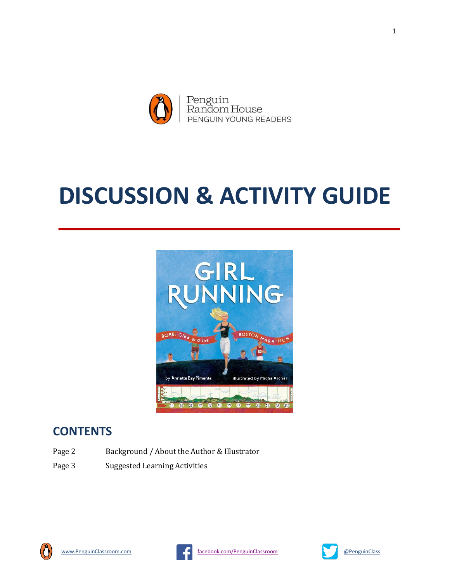

# **DISCUSSION & ACTIVITY GUIDE**



# **CONTENTS**

- Page 2 Background / About the Author & Illustrator
- Page 3 Suggested Learning Activities





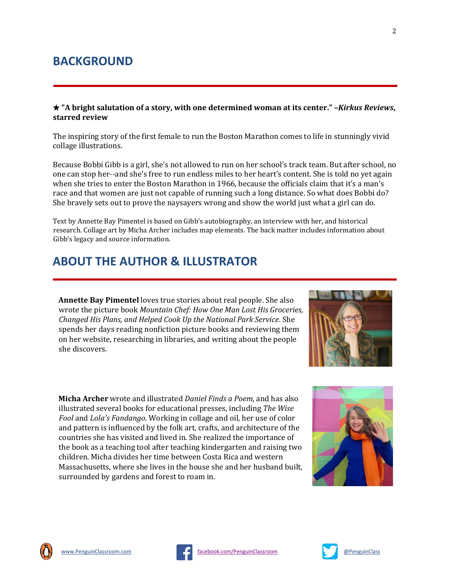## **BACKGROUND**

★ **"A bright salutation of a story, with one determined woman at its center." –***Kirkus Reviews***, starred review**

The inspiring story of the first female to run the Boston Marathon comes to life in stunningly vivid collage illustrations.

Because Bobbi Gibb is a girl, she's not allowed to run on her school's track team. But after school, no one can stop her--and she's free to run endless miles to her heart's content. She is told no yet again when she tries to enter the Boston Marathon in 1966, because the officials claim that it's a man's race and that women are just not capable of running such a long distance. So what does Bobbi do? She bravely sets out to prove the naysayers wrong and show the world just what a girl can do.

Text by Annette Bay Pimentel is based on Gibb's autobiography, an interview with her, and historical research. Collage art by Micha Archer includes map elements. The back matter includes information about Gibb's legacy and source information.

## **ABOUT THE AUTHOR & ILLUSTRATOR**

**Annette Bay Pimentel** loves true stories about real people. She also wrote the picture book *Mountain Chef: How One Man Lost His Groceries, Changed His Plans, and Helped Cook Up the National Park Service*. She spends her days reading nonfiction picture books and reviewing them on her website, researching in libraries, and writing about the people she discovers.



**Micha Archer** wrote and illustrated *Daniel Finds a Poem*, and has also illustrated several books for educational presses, including *The Wise Fool* and *Lola's Fandango*. Working in collage and oil, her use of color and pattern is influenced by the folk art, crafts, and architecture of the countries she has visited and lived in. She realized the importance of the book as a teaching tool after teaching kindergarten and raising two children. Micha divides her time between Costa Rica and western Massachusetts, where she lives in the house she and her husband built, surrounded by gardens and forest to roam in.